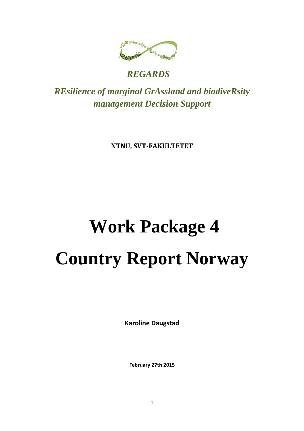

## *REGARDS*

# *REsilience of marginal GrAssland and biodiveRsity management Decision Support*

**NTNU, SVT-FAKULTETET**

# **Work Package 4 Country Report Norway**

**Karoline Daugstad**

**February 27th 2015**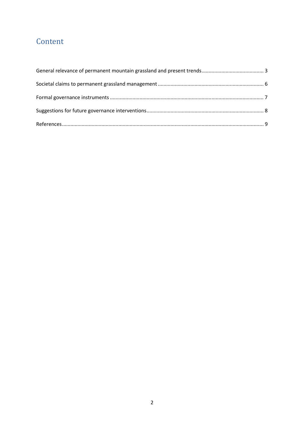## Content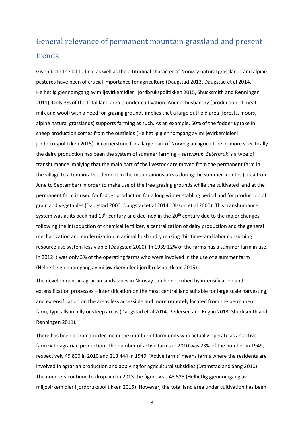## General relevance of permanent mountain grassland and present trends

Given both the latitudinal as well as the altitudinal character of Norway natural grasslands and alpine pastures have been of crucial importance for agriculture (Daugstad 2013, Daugstad et al 2014, Helhetlig gjennomgang av miljøvirkemidler i jordbrukspolitikken 2015, Shucksmith and Rønningen 2011). Only 3% of the total land area is under cultivation. Animal husbandry (production of meat, milk and wool) with a need for grazing grounds implies that a large outfield area (forests, moors, alpine natural grasslands) supports farming as such. As an example, 50% of the fodder uptake in sheep production comes from the outfields (Helhetlig gjennomgang av miljøvirkemidler i jordbrukspolitkken 2015). A cornerstone for a large part of Norwegian agriculture or more specifically the dairy production has been the system of summer farming – *seterbruk*. *Seterbruk* is a type of transhumance implying that the main part of the livestock are moved from the permanent farm in the village to a temporal settlement in the mountainous areas during the summer months (circa from June to September) in order to make use of the free grazing grounds while the cultivated land at the permanent farm is used for fodder production for a long winter stabling period and for production of grain and vegetables (Daugstad 2000, Daugstad et al 2014, Olsson et al 2000). This transhumance system was at its peak mid  $19<sup>th</sup>$  century and declined in the  $20<sup>th</sup>$  century due to the major changes following the introduction of chemical fertilizer, a centralization of dairy production and the general mechanization and modernization in animal husbandry making this time- and labor consuming resource use system less viable (Daugstad 2000). In 1939 12% of the farms has a summer farm in use, in 2012 it was only 3% of the operating farms who were involved in the use of a summer farm (Helhetlig gjennomgang av miljøvirkemidler i jordbrukspolitkken 2015).

The development in agrarian landscapes in Norway can be described by intensification and extensification processes – intensification on the most central land suitable for large scale harvesting, and extensification on the areas less accessible and more remotely located from the permanent farm, typically in hilly or steep areas (Daugstad et al 2014, Pedersen and Engan 2013, Shucksmith and Rønningen 2011).

There has been a dramatic decline in the number of farm units who actually operate as an active farm with agrarian production. The number of active farms in 2010 was 23% of the number in 1949, respectively 49 800 in 2010 and 213 444 in 1949. 'Active farms' means farms where the residents are involved in agrarian production and applying for agricultural subsidies (Dramstad and Sang 2010). The numbers continue to drop and in 2013 the figure was 43 525 (Helhetlig gjennomgang av miljøvirkemidler i jordbrukspolitikken 2015). However, the total land area under cultivation has been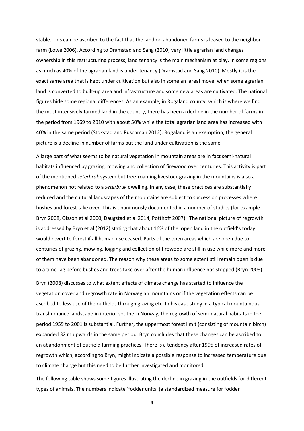stable. This can be ascribed to the fact that the land on abandoned farms is leased to the neighbor farm (Løwe 2006). According to Dramstad and Sang (2010) very little agrarian land changes ownership in this restructuring process, land tenancy is the main mechanism at play. In some regions as much as 40% of the agrarian land is under tenancy (Dramstad and Sang 2010). Mostly it is the exact same area that is kept under cultivation but also in some an 'areal move' when some agrarian land is converted to built-up area and infrastructure and some new areas are cultivated. The national figures hide some regional differences. As an example, in Rogaland county, which is where we find the most intensively farmed land in the country, there has been a decline in the number of farms in the period from 1969 to 2010 with about 50% while the total agrarian land area has increased with 40% in the same period (Stokstad and Puschman 2012). Rogaland is an exemption, the general picture is a decline in number of farms but the land under cultivation is the same.

A large part of what seems to be natural vegetation in mountain areas are in fact semi-natural habitats influenced by grazing, mowing and collection of firewood over centuries. This activity is part of the mentioned *seterbruk* system but free-roaming livestock grazing in the mountains is also a phenomenon not related to a *seterbruk* dwelling. In any case, these practices are substantially reduced and the cultural landscapes of the mountains are subject to succession processes where bushes and forest take over. This is unanimously documented in a number of studies (for example Bryn 2008, Olsson et al 2000, Daugstad et al 2014, Potthoff 2007). The national picture of regrowth is addressed by Bryn et al (2012) stating that about 16% of the open land in the outfield's today would revert to forest if all human use ceased. Parts of the open areas which are open due to centuries of grazing, mowing, logging and collection of firewood are still in use while more and more of them have been abandoned. The reason why these areas to some extent still remain open is due to a time-lag before bushes and trees take over after the human influence has stopped (Bryn 2008).

Bryn (2008) discusses to what extent effects of climate change has started to influence the vegetation cover and regrowth rate in Norwegian mountains or if the vegetation effects can be ascribed to less use of the outfields through grazing etc. In his case study in a typical mountainous transhumance landscape in interior southern Norway, the regrowth of semi-natural habitats in the period 1959 to 2001 is substantial. Further, the uppermost forest limit (consisting of mountain birch) expanded 32 m upwards in the same period. Bryn concludes that these changes can be ascribed to an abandonment of outfield farming practices. There is a tendency after 1995 of increased rates of regrowth which, according to Bryn, might indicate a possible response to increased temperature due to climate change but this need to be further investigated and monitored.

The following table shows some figures illustrating the decline in grazing in the outfields for different types of animals. The numbers indicate 'fodder units' (a standardized measure for fodder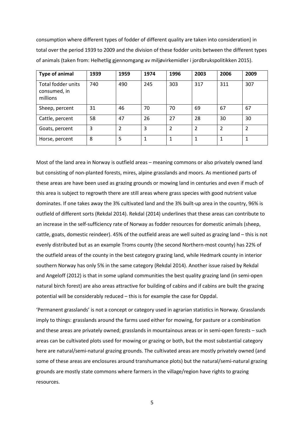consumption where different types of fodder of different quality are taken into consideration) in total over the period 1939 to 2009 and the division of these fodder units between the different types of animals (taken from: Helhetlig gjennomgang av miljøvirkemidler i jordbrukspolitikken 2015).

| <b>Type of animal</b>                          | 1939 | 1959 | 1974 | 1996           | 2003           | 2006 | 2009           |
|------------------------------------------------|------|------|------|----------------|----------------|------|----------------|
| Total fodder units<br>consumed, in<br>millions | 740  | 490  | 245  | 303            | 317            | 311  | 307            |
| Sheep, percent                                 | 31   | 46   | 70   | 70             | 69             | 67   | 67             |
| Cattle, percent                                | 58   | 47   | 26   | 27             | 28             | 30   | 30             |
| Goats, percent                                 | 3    | 2    | 3    | $\overline{2}$ | $\mathfrak{p}$ | 2    | $\overline{2}$ |
| Horse, percent                                 | 8    | 5    | 1    | 1              | 1              | 1    |                |

Most of the land area in Norway is outfield areas – meaning commons or also privately owned land but consisting of non-planted forests, mires, alpine grasslands and moors. As mentioned parts of these areas are have been used as grazing grounds or mowing land in centuries and even if much of this area is subject to regrowth there are still areas where grass species with good nutrient value dominates. If one takes away the 3% cultivated land and the 3% built-up area in the country, 96% is outfield of different sorts (Rekdal 2014). Rekdal (2014) underlines that these areas can contribute to an increase in the self-sufficiency rate of Norway as fodder resources for domestic animals (sheep, cattle, goats, domestic reindeer). 45% of the outfield areas are well suited as grazing land – this is not evenly distributed but as an example Troms county (the second Northern-most county) has 22% of the outfield areas of the county in the best category grazing land, while Hedmark county in interior southern Norway has only 5% in the same category (Rekdal 2014). Another issue raised by Rekdal and Angeloff (2012) is that in some upland communities the best quality grazing land (in semi-open natural birch forest) are also areas attractive for building of cabins and if cabins are built the grazing potential will be considerably reduced – this is for example the case for Oppdal.

'Permanent grasslands' is not a concept or category used in agrarian statistics in Norway. Grasslands imply to things: grasslands around the farms used either for mowing, for pasture or a combination and these areas are privately owned; grasslands in mountainous areas or in semi-open forests – such areas can be cultivated plots used for mowing or grazing or both, but the most substantial category here are natural/semi-natural grazing grounds. The cultivated areas are mostly privately owned (and some of these areas are enclosures around transhumance plots) but the natural/semi-natural grazing grounds are mostly state commons where farmers in the village/region have rights to grazing resources.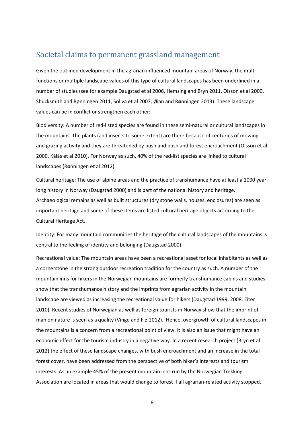## Societal claims to permanent grassland management

Given the outlined development in the agrarian influenced mountain areas of Norway, the multifunctions or multiple landscape values of this type of cultural landscapes has been underlined in a number of studies (see for example Daugstad et al 2006, Hemsing and Bryn 2011, Olsson et al 2000, Shucksmith and Rønningen 2011, Soliva et al 2007, Øian and Rønningen 2013). These landscape values can be in conflict or strengthen each other:

Biodiversity: A number of red-listed species are found in these semi-natural or cultural landscapes in the mountains. The plants (and insects to some extent) are there because of centuries of mowing and grazing activity and they are threatened by bush and bush and forest encroachment (Olsson et al 2000, Kålås et al 2010). For Norway as such, 40% of the red-list species are linked to cultural landscapes (Rønningen et al 2012).

Cultural heritage: The use of alpine areas and the practice of transhumance have at least a 1000 year long history in Norway (Daugstad 2000) and is part of the national history and heritage. Archaeological remains as well as built structures (dry stone walls, houses, enclosures) are seen as important heritage and some of these items are listed cultural heritage objects according to the Cultural Heritage Act.

Identity: For many mountain communities the heritage of the cultural landscapes of the mountains is central to the feeling of identity and belonging (Daugstad 2000).

Recreational value: The mountain areas have been a recreational asset for local inhabitants as well as a cornerstone in the strong outdoor recreation tradition for the country as such. A number of the mountain inns for hikers in the Norwegian mountains are formerly transhumance cabins and studies show that the transhumance history and the imprints from agrarian activity in the mountain landscape are viewed as increasing the recreational value for hikers (Daugstad 1999, 2008, Eiter 2010). Recent studies of Norwegian as well as foreign tourists in Norway show that the imprint of man on nature is seen as a quality (Vinge and Flø 2012). Hence, overgrowth of cultural landscapes in the mountains is a concern from a recreational point of view. It is also an issue that might have an economic effect for the tourism industry in a negative way. In a recent research project (Bryn et al 2012) the effect of these landscape changes, with bush encroachment and an increase in the total forest cover, have been addressed from the perspective of both hiker's interests and tourism interests. As an example 45% of the present mountain inns run by the Norwegian Trekking Association are located in areas that would change to forest if all agrarian-related activity stopped.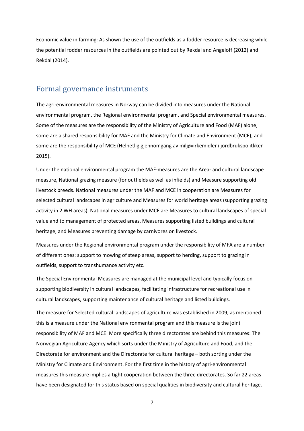Economic value in farming: As shown the use of the outfields as a fodder resource is decreasing while the potential fodder resources in the outfields are pointed out by Rekdal and Angeloff (2012) and Rekdal (2014).

#### Formal governance instruments

The agri-environmental measures in Norway can be divided into measures under the National environmental program, the Regional environmental program, and Special environmental measures. Some of the measures are the responsibility of the Ministry of Agriculture and Food (MAF) alone, some are a shared responsibility for MAF and the Ministry for Climate and Environment (MCE), and some are the responsibility of MCE (Helhetlig gjennomgang av miljøvirkemidler i jordbrukspolitkken 2015).

Under the national environmental program the MAF-measures are the Area- and cultural landscape measure, National grazing measure (for outfields as well as infields) and Measure supporting old livestock breeds. National measures under the MAF and MCE in cooperation are Measures for selected cultural landscapes in agriculture and Measures for world heritage areas (supporting grazing activity in 2 WH areas). National measures under MCE are Measures to cultural landscapes of special value and to management of protected areas, Measures supporting listed buildings and cultural heritage, and Measures preventing damage by carnivores on livestock.

Measures under the Regional environmental program under the responsibility of MFA are a number of different ones: support to mowing of steep areas, support to herding, support to grazing in outfields, support to transhumance activity etc.

The Special Environmental Measures are managed at the municipal level and typically focus on supporting biodiversity in cultural landscapes, facilitating infrastructure for recreational use in cultural landscapes, supporting maintenance of cultural heritage and listed buildings.

The measure for Selected cultural landscapes of agriculture was established in 2009, as mentioned this is a measure under the National environmental program and this measure is the joint responsibility of MAF and MCE. More specifically three directorates are behind this measures: The Norwegian Agriculture Agency which sorts under the Ministry of Agriculture and Food, and the Directorate for environment and the Directorate for cultural heritage – both sorting under the Ministry for Climate and Environment. For the first time in the history of agri-environmental measures this measure implies a tight cooperation between the three directorates. So far 22 areas have been designated for this status based on special qualities in biodiversity and cultural heritage.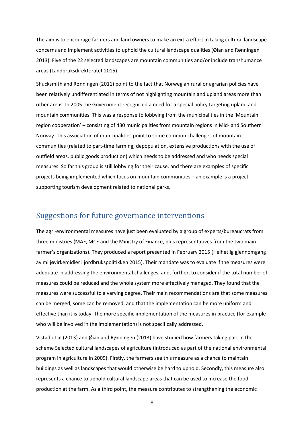The aim is to encourage farmers and land owners to make an extra effort in taking cultural landscape concerns and implement activities to uphold the cultural landscape qualities (Øian and Rønningen 2013). Five of the 22 selected landscapes are mountain communities and/or include transhumance areas (Landbruksdirektoratet 2015).

Shucksmith and Rønningen (2011) point to the fact that Norwegian rural or agrarian policies have been relatively undifferentiated in terms of not highlighting mountain and upland areas more than other areas. In 2005 the Government recogniced a need for a special policy targeting upland and mountain communities. This was a response to lobbying from the municipalities in the 'Mountain region cooperation' – consisting of 430 municipalities from mountain regions in Mid- and Southern Norway. This association of municipalities point to some common challenges of mountain communities (related to part-time farming, depopulation, extensive productions with the use of outfield areas, public goods production) which needs to be addressed and who needs special measures. So far this group is still lobbying for their cause, and there are examples of specific projects being implemented which focus on mountain communities – an example is a project supporting tourism development related to national parks.

## Suggestions for future governance interventions

The agri-environmental measures have just been evaluated by a group of experts/bureaucrats from three ministries (MAF, MCE and the Ministry of Finance, plus representatives from the two main farmer's organizations). They produced a report presented in February 2015 (Helhetlig gjennomgang av miljøvirkemidler i jordbrukspolitikken 2015). Their mandate was to evaluate if the measures were adequate in addressing the environmental challenges, and, further, to consider if the total number of measures could be reduced and the whole system more effectively managed. They found that the measures were successful to a varying degree. Their main recommendations are that some measures can be merged, some can be removed, and that the implementation can be more uniform and effective than it is today. The more specific implementation of the measures in practice (for example who will be involved in the implementation) is not specifically addressed.

Vistad et al (2013) and Øian and Rønningen (2013) have studied how farmers taking part in the scheme Selected cultural landscapes of agriculture (introduced as part of the national environmental program in agriculture in 2009). Firstly, the farmers see this measure as a chance to maintain buildings as well as landscapes that would otherwise be hard to uphold. Secondly, this measure also represents a chance to uphold cultural landscape areas that can be used to increase the food production at the farm. As a third point, the measure contributes to strengthening the economic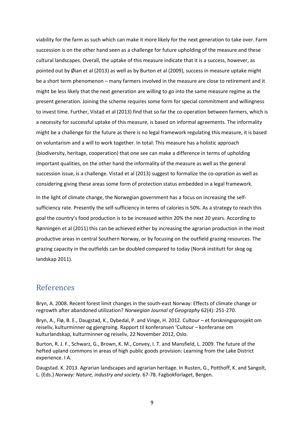viability for the farm as such which can make it more likely for the next generation to take over. Farm succession is on the other hand seen as a challenge for future upholding of the measure and these cultural landscapes. Overall, the uptake of this measure indicate that it is a success, however, as pointed out by Øian et al (2013) as well as by Burton et al (2009), success in measure uptake might be a short term phenomenon – many farmers involved in the measure are close to retirement and it might be less likely that the next generation are willing to go into the same measure regime as the present generation. Joining the scheme requires some form for special commitment and willingness to invest time. Further, Vistad et al (2013) find that so far the co-operation between farmers, which is a necessity for successful uptake of this measure, is based on informal agreements. The informality might be a challenge for the future as there is no legal framework regulating this measure, it is based on voluntarism and a will to work together. In total: This measure has a holistic approach (biodiversity, heritage, cooperation) that one see can make a difference in terms of upholding important qualities, on the other hand the informality of the measure as well as the general succession issue, is a challenge. Vistad et al (2013) suggest to formalize the co-opration as well as considering giving these areas some form of protection status embedded in a legal framework.

In the light of climate change, the Norwegian government has a focus on increasing the selfsufficiency rate. Presently the self-sufficiency in terms of calories is 50%. As a strategy to reach this goal the country's food production is to be increased within 20% the next 20 years. According to Rønningen et al (2011) this can be achieved either by increasing the agrarian production in the most productive areas in central Southern Norway, or by focusing on the outfield grazing resources. The grazing capacity in the outfields can be doubled compared to today (Norsk institutt for skog og landskap 2011).

### References

Bryn, A. 2008. Recent forest limit changes in the south-east Norway: Effects of climate change or regrowth after abandoned utilization? *Norwegian Journal of Geography* 62(4): 251-270.

Bryn, A., Flø, B. E., Daugstad, K., Dybedal, P. and Vinge, H. 2012. Cultour – et forskningsprosjekt om reiseliv, kulturminner og gjengroing. Rapport til konferansen 'Cultour – konferanse om kulturlandskap, kulturminner og reiseliv, 22 November 2012, Oslo.

Burton, R. J. F., Schwarz, G., Brown, K. M., Convey, I. T. and Mansfield, L. 2009. The future of the hefted upland commons in areas of high public goods provision: Learning from the Lake District experience. I A.

Daugstad. K. 2013. Agrarian landscapes and agrarian heritage. In Rusten, G., Potthoff, K. and Sangolt, L. (Eds.) *Norway: Nature, industry and society*. 67-78. Fagbokforlaget, Bergen.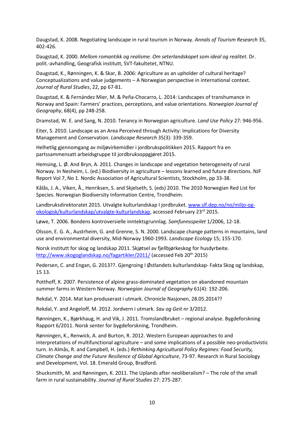Daugstad, K. 2008. Negotiating landscape in rural tourism in Norway. *Annals of Tourism Research* 35, 402-426.

Daugstad, K. 2000. *Mellom romantikk og realisme. Om seterlandskapet som ideal og realitet*. Dr. polit.-avhandling, Geografisk institutt, SVT-fakultetet, NTNU.

Daugstad, K., Rønningen, K. & Skar, B. 2006: Agriculture as an upholder of cultural heritage? Conceptualizations and value judgements – A Norwegian perspective in international context. *Journal of Rural Studies*, 22, pp 67-81.

Daugstad, K. & Fernández Mier, M. & Peña-Chocarro, L. 2014: Landscapes of transhumance in Norway and Spain: Farmers' practices, perceptions, and value orientations. *Norwegian Journal of Geography*, 68(4), pp 248-258.

Dramstad, W. E. and Sang, N. 2010. Tenancy in Norwegian agriculture. *Land Use Policy* 27: 946-956.

Eiter, S. 2010. Landscape as an Area Perceived through Activity: Implications for Diversity Management and Conservation. *Landscape Research* 35(3): 339-359.

Helhetlig gjennomgang av miljøvirkemidler i jordbrukspolitikken 2015. Rapport fra en partssammensatt arbeidsgruppe til jordbruksoppgjøret 2015.

Hemsing, L. Ø. And Bryn, A. 2011. Changes in landscape and vegetation heterogeneity of rural Norway. In Nesheim, L. (ed.) Biodiversity in agriculture – lessons learned and future directions. NJF Report Vol 7, No 1. Nordic Association of Agricultural Scientists, Stockholm, pp 33-38.

Kålås, J. A., Viken, Å., Henriksen, S. and Skjelseth, S. (eds) 2010. The 2010 Norwegian Red List for Species. Norwegian Biodiversity Information Centre, Trondheim.

Landbruksdirektoratet 2015. Utvalgte kulturlandskap I jordbruket. www.slf.dep.no/no/miljo-ogokologisk/kulturlandskap/utvalgte-kulturlandskap, accessed February 23rd 2015.

Løwe, T. 2006. Bondens kontroversielle inntektsgrunnlag. *Samfunnsspeilet* 1/2006, 12-18.

Olsson, E. G. A., Austrheim, G. and Grenne, S. N. 2000. Landscape change patterns in mountains, land use and environmental diversity, Mid-Norway 1960-1993. *Landscape Ecology* 15; 155-170.

Norsk institutt for skog og landskap 2011. Skjøtsel av fjellbjørkeskog for husdyrbeite. http://www.skogoglandskap.no/fagartikler/2011/ (accessed Feb 20<sup>th</sup> 2015)

Pedersen, C. and Engan, G. 2013??. Gjengroing I Østlandets kulturlandskap- Fakta Skog og landskap, 15 13.

Potthoff, K. 2007. Persistence of alpine grass-dominated vegetation on abandoned mountain summer farms in Western Norway. *Norwegian Journal of Geography* 61(4): 192-206.

Rekdal, Y. 2014. Mat kan produserast i utmark. Chronicle Nasjonen, 28.05.2014??

Rekdal, Y. and Angeloff, M. 2012. Jordvern i utmark. *Sau og Geit* nr 3/2012.

Rønningen, K., Bjørkhaug, H. and Vik, J. 2011. Tromslandbruket – regional analyse. Bygdeforskning Rapport 6/2011. Norsk senter for bygdeforskning, Trondheim.

Rønningen, K., Renwick, A. and Burton, R. 2012. Western European approaches to and interpretations of multifunctional agriculture – and some implications of a possible neo-productivistic turn. In Almås, R. and Campbell, H. (eds.) *Rethinking Agricultural Policy Regimes: Food Security, Climate Change and the Future Resilience of Global Agriculture*, 73-97. Research in Rural Sociology and Development, Vol. 18. Emerald Group, Bradford.

Shucksmith, M. and Rønningen, K. 2011. The Uplands after neoliberalism? – The role of the small farm in rural sustainability. *Journal of Rural Studies* 27: 275-287.